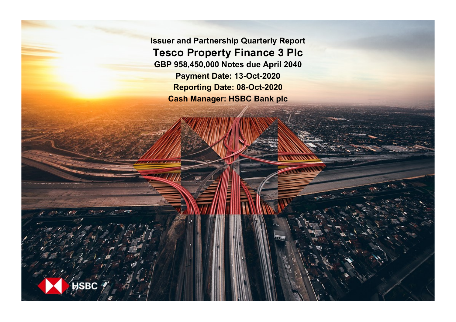**Issuer and Partnership Quarterly Report Tesco Property Finance 3 Plc GBP 958,450,000 Notes due April 2040 Payment Date: 13-Oct-2020 Reporting Date: 08-Oct-2020 Cash Manager: HSBC Bank plc**

**SRC**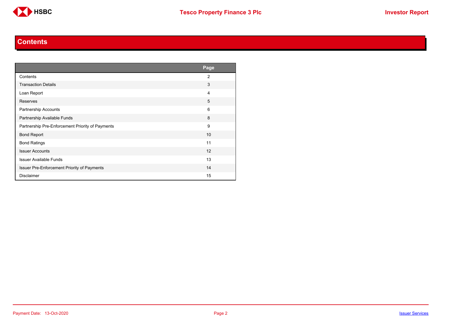

#### **Contents**

<span id="page-1-0"></span>

|                                                  | Page           |
|--------------------------------------------------|----------------|
| Contents                                         | $\overline{2}$ |
| <b>Transaction Details</b>                       | 3              |
| Loan Report                                      | 4              |
| Reserves                                         | 5              |
| Partnership Accounts                             | 6              |
| Partnership Available Funds                      | 8              |
| Partnership Pre-Enforcement Priority of Payments | 9              |
| <b>Bond Report</b>                               | 10             |
| <b>Bond Ratings</b>                              | 11             |
| <b>Issuer Accounts</b>                           | 12             |
| <b>Issuer Available Funds</b>                    | 13             |
| Issuer Pre-Enforcement Priority of Payments      | 14             |
| <b>Disclaimer</b>                                | 15             |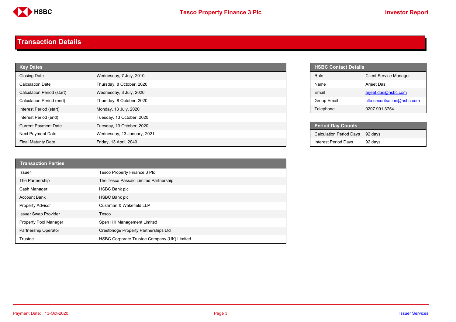

#### <span id="page-2-0"></span>**Transaction Details**

| <b>Key Dates</b>            |                             |  |
|-----------------------------|-----------------------------|--|
| <b>Closing Date</b>         | Wednesday, 7 July, 2010     |  |
| <b>Calculation Date</b>     | Thursday, 8 October, 2020   |  |
| Calculation Period (start)  | Wednesday, 8 July, 2020     |  |
| Calculation Period (end)    | Thursday, 8 October, 2020   |  |
| Interest Period (start)     | Monday, 13 July, 2020       |  |
| Interest Period (end)       | Tuesday, 13 October, 2020   |  |
| <b>Current Payment Date</b> | Tuesday, 13 October, 2020   |  |
| Next Payment Date           | Wednesday, 13 January, 2021 |  |
| <b>Final Maturity Date</b>  | Friday, 13 April, 2040      |  |

| <b>Transaction Parties</b>   |                                             |
|------------------------------|---------------------------------------------|
| Issuer                       | Tesco Property Finance 3 Plc                |
| The Partnership              | The Tesco Passaic Limited Partnership       |
| Cash Manager                 | <b>HSBC Bank plc</b>                        |
| <b>Account Bank</b>          | <b>HSBC Bank plc</b>                        |
| <b>Property Advisor</b>      | Cushman & Wakefield LLP                     |
| <b>Issuer Swap Provider</b>  | Tesco                                       |
| <b>Property Pool Manager</b> | Spen Hill Management Limited                |
| Partnership Operator         | Crestbridge Property Partnerships Ltd       |
| Trustee                      | HSBC Corporate Trustee Company (UK) Limited |

| <b>HSBC Contact Details</b> |                               |
|-----------------------------|-------------------------------|
| Role                        | <b>Client Service Manager</b> |
| Name                        | Arjeet Das                    |
| Fmail                       | arjeet.das@hsbc.com           |
| Group Email                 | ctla.securitsation@hsbc.com   |
| Telephone                   | 0207 991 3754                 |

| <b>Period Day Counts</b>       |         |
|--------------------------------|---------|
| <b>Calculation Period Days</b> | 92 davs |
| <b>Interest Period Days</b>    | 92 days |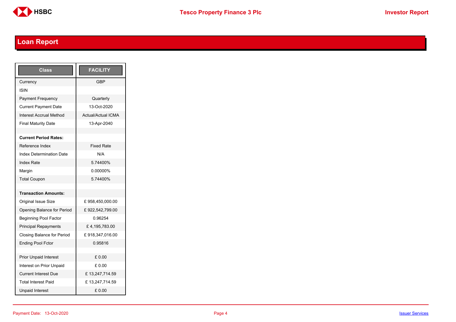

# <span id="page-3-0"></span>**Loan Report**

| <b>Class</b>                      | <b>FACILITY</b>           |
|-----------------------------------|---------------------------|
| Currency                          | GBP                       |
| ISIN                              |                           |
| <b>Payment Frequency</b>          | Quarterly                 |
| <b>Current Payment Date</b>       | 13-Oct-2020               |
| <b>Interest Accrual Method</b>    | <b>Actual/Actual ICMA</b> |
| <b>Final Maturity Date</b>        | 13-Apr-2040               |
|                                   |                           |
| <b>Current Period Rates:</b>      |                           |
| Reference Index                   | <b>Fixed Rate</b>         |
| <b>Index Determination Date</b>   | N/A                       |
| <b>Index Rate</b>                 | 5.74400%                  |
| Margin                            | 0.00000%                  |
| <b>Total Coupon</b>               | 574400%                   |
|                                   |                           |
| <b>Transaction Amounts:</b>       |                           |
| <b>Original Issue Size</b>        | £958,450,000.00           |
| Opening Balance for Period        | £922,542,799.00           |
| <b>Beginning Pool Factor</b>      | 0.96254                   |
| <b>Principal Repayments</b>       | £4,195,783.00             |
| <b>Closing Balance for Period</b> | £918,347,016.00           |
| <b>Ending Pool Fctor</b>          | 0.95816                   |
|                                   |                           |
| <b>Prior Unpaid Interest</b>      | £0.00                     |
| Interest on Prior Unpaid          | £ 0.00                    |
| <b>Current Interest Due</b>       | £13,247,714.59            |
| <b>Total Interest Paid</b>        | £13,247,714.59            |
| <b>Unpaid Interest</b>            | £0.00                     |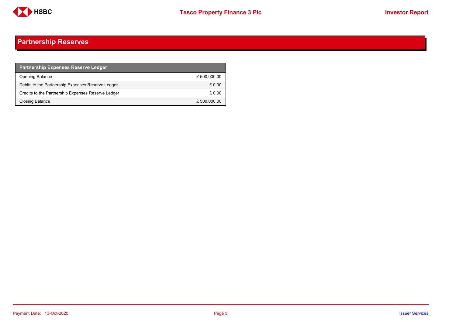

## <span id="page-4-0"></span>**Partnership Reserves**

| <b>Partnership Expenses Reserve Ledger</b>         |              |
|----------------------------------------------------|--------------|
| <b>Opening Balance</b>                             | £500,000.00  |
| Debits to the Partnership Expenses Reserve Ledger  | £ 0.00       |
| Credits to the Partnership Expenses Reserve Ledger | £ 0.00       |
| Closing Balance                                    | £ 500,000.00 |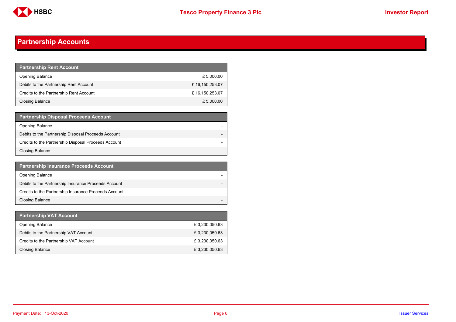

## <span id="page-5-0"></span>**Partnership Accounts**

| <b>Partnership Rent Account</b>         |                |
|-----------------------------------------|----------------|
| <b>Opening Balance</b>                  | £ 5,000.00     |
| Debits to the Partnership Rent Account  | £16,150,253.07 |
| Credits to the Partnership Rent Account | £16,150,253.07 |
| <b>Closing Balance</b>                  | £ 5,000.00     |

| <b>Partnership Disposal Proceeds Account</b>         |  |
|------------------------------------------------------|--|
| <b>Opening Balance</b>                               |  |
| Debits to the Partnership Disposal Proceeds Account  |  |
| Credits to the Partnership Disposal Proceeds Account |  |
| Closing Balance                                      |  |

| <b>Partnership Insurance Proceeds Account</b>         |  |
|-------------------------------------------------------|--|
| <b>Opening Balance</b>                                |  |
| Debits to the Partnership Insurance Proceeds Account  |  |
| Credits to the Partnership Insurance Proceeds Account |  |
| <b>Closing Balance</b>                                |  |

| <b>Partnership VAT Account</b>         |               |
|----------------------------------------|---------------|
| <b>Opening Balance</b>                 | £3,230,050.63 |
| Debits to the Partnership VAT Account  | £3,230,050.63 |
| Credits to the Partnership VAT Account | £3,230,050.63 |
| Closing Balance                        | £3,230,050.63 |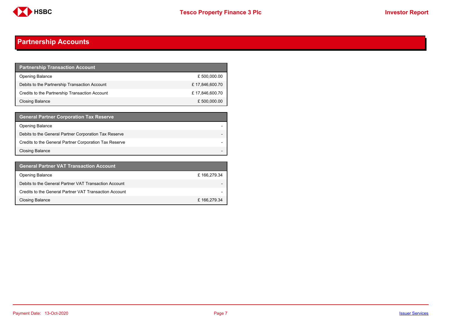

## **Partnership Accounts**

| <b>Partnership Transaction Account</b>         |                |
|------------------------------------------------|----------------|
| <b>Opening Balance</b>                         | £ 500,000.00   |
| Debits to the Partnership Transaction Account  | £17,846,600.70 |
| Credits to the Partnership Transaction Account | £17,846,600.70 |
| <b>Closing Balance</b>                         | £ 500,000.00   |

| <b>General Partner Corporation Tax Reserve</b>         |  |
|--------------------------------------------------------|--|
| <b>Opening Balance</b>                                 |  |
| Debits to the General Partner Corporation Tax Reserve  |  |
| Credits to the General Partner Corporation Tax Reserve |  |
| <b>Closing Balance</b>                                 |  |

| <b>General Partner VAT Transaction Account</b>         |                          |
|--------------------------------------------------------|--------------------------|
| <b>Opening Balance</b>                                 | £166,279.34              |
| Debits to the General Partner VAT Transaction Account  | $\overline{\phantom{0}}$ |
| Credits to the General Partner VAT Transaction Account | $\overline{\phantom{0}}$ |
| <b>Closing Balance</b>                                 | £166,279.34              |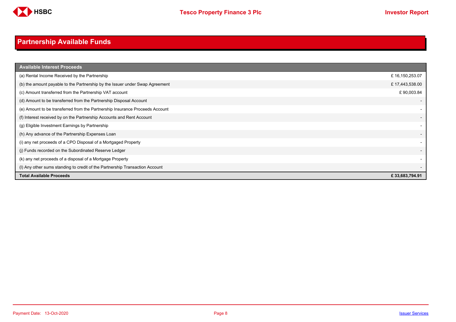

# <span id="page-7-0"></span>**Partnership Available Funds**

| <b>Available Interest Proceeds</b>                                           |                          |
|------------------------------------------------------------------------------|--------------------------|
| (a) Rental Income Received by the Partnership                                | £16,150,253.07           |
| (b) the amount payable to the Partnership by the Issuer under Swap Agreement | £17,443,538.00           |
| (c) Amount transferred from the Partnership VAT account                      | £90,003.84               |
| (d) Amount to be transferred from the Partnership Disposal Account           |                          |
| (e) Amount to be transferred from the Partnership Insurance Proceeds Account |                          |
| (f) Interest received by on the Partnership Accounts and Rent Account        | $\overline{\phantom{a}}$ |
| (g) Eligible Investment Earnings by Partnership                              |                          |
| (h) Any advance of the Partnership Expenses Loan                             | $\overline{\phantom{a}}$ |
| (i) any net proceeds of a CPO Disposal of a Mortgaged Property               | $\overline{\phantom{a}}$ |
| (i) Funds recorded on the Subordinated Reserve Ledger                        | $\overline{\phantom{a}}$ |
| (k) any net proceeds of a disposal of a Mortgage Property                    | $\overline{\phantom{a}}$ |
| (I) Any other sums standing to credit of the Partnership Transaction Account | $\overline{\phantom{a}}$ |
| <b>Total Available Proceeds</b>                                              | £33,683,794.91           |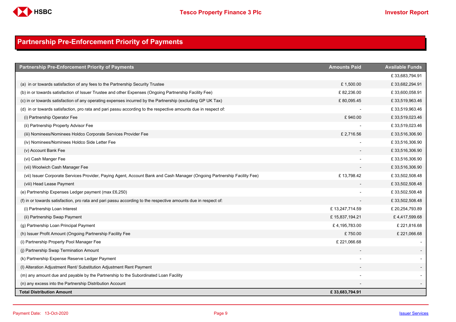

## <span id="page-8-0"></span>**Partnership Pre-Enforcement Priority of Payments**

| <b>Partnership Pre-Enforcement Priority of Payments</b>                                                                  | <b>Amounts Paid</b> | <b>Available Funds</b> |
|--------------------------------------------------------------------------------------------------------------------------|---------------------|------------------------|
|                                                                                                                          |                     | £33,683,794.91         |
| (a) in or towards satisfaction of any fees to the Partnership Security Trustee                                           | £1,500.00           | £33,682,294.91         |
| (b) in or towards satisfaction of Issuer Trustee and other Expenses (Ongoing Partnership Facility Fee)                   | £82,236.00          | £33,600,058.91         |
| (c) in or towards satisfaction of any operating expenses incurred by the Partnership (excluding GP UK Tax)               | £80,095.45          | £33,519,963.46         |
| (d) in or towards satisfaction, pro rata and pari passu according to the respective amounts due in respect of:           |                     | £33,519,963.46         |
| (i) Partnership Operator Fee                                                                                             | £940.00             | £33,519,023.46         |
| (ii) Partnership Property Advisor Fee                                                                                    |                     | £33,519,023.46         |
| (iii) Nominees/Nominees Holdco Corporate Services Provider Fee                                                           | £2,716.56           | £33,516,306.90         |
| (iv) Nominees/Nominees Holdco Side Letter Fee                                                                            |                     | £33,516,306.90         |
| (v) Account Bank Fee                                                                                                     |                     | £33,516,306.90         |
| (vi) Cash Manger Fee                                                                                                     |                     | £33,516,306.90         |
| (vii) Woolwich Cash Manager Fee                                                                                          |                     | £33,516,306.90         |
| (vii) Issuer Corporate Services Provider, Paying Agent, Account Bank and Cash Manager (Ongoing Partnership Facility Fee) | £13,798.42          | £33,502,508.48         |
| (viii) Head Lease Payment                                                                                                |                     | £33,502,508.48         |
| (e) Partnership Expenses Ledger payment (max £6,250)                                                                     |                     | £33,502,508.48         |
| (f) in or towards satisfaction, pro rata and pari passu according to the respective amounts due in respect of:           |                     | £33,502,508.48         |
| (i) Partnership Loan Interest                                                                                            | £13,247,714.59      | £ 20,254,793.89        |
| (ii) Partnership Swap Payment                                                                                            | £15,837,194.21      | £4,417,599.68          |
| (g) Partnership Loan Principal Payment                                                                                   | £4,195,783.00       | £221,816.68            |
| (h) Issuer Profit Amount (Ongoing Partnership Facility Fee                                                               | £750.00             | £ 221,066.68           |
| (i) Partnership Property Pool Manager Fee                                                                                | £221,066.68         |                        |
| (j) Partnership Swap Termination Amount                                                                                  |                     |                        |
| (k) Partnership Expense Reserve Ledger Payment                                                                           |                     |                        |
| (I) Alteration Adjustment Rent/ Substitution Adjustment Rent Payment                                                     |                     |                        |
| (m) any amount due and payable by the Partnership to the Subordinated Loan Facility                                      |                     |                        |
| (n) any excess into the Partnership Distribution Account                                                                 |                     |                        |
| <b>Total Distribution Amount</b>                                                                                         | £33,683,794.91      |                        |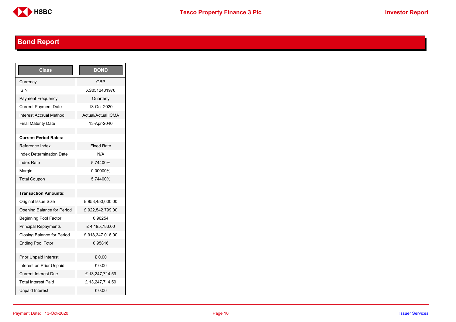

# <span id="page-9-0"></span>**Bond Report**

| Class                           | <b>BOND</b>        |
|---------------------------------|--------------------|
| Currency                        | <b>GBP</b>         |
| ISIN                            | XS0512401976       |
| <b>Payment Frequency</b>        | Quarterly          |
| <b>Current Payment Date</b>     | 13-Oct-2020        |
| <b>Interest Accrual Method</b>  | Actual/Actual ICMA |
| <b>Final Maturity Date</b>      | 13-Apr-2040        |
|                                 |                    |
| <b>Current Period Rates:</b>    |                    |
| Reference Index                 | <b>Fixed Rate</b>  |
| <b>Index Determination Date</b> | N/A                |
| <b>Index Rate</b>               | 5.74400%           |
| Margin                          | 0.00000%           |
| <b>Total Coupon</b>             | 5.74400%           |
|                                 |                    |
| <b>Transaction Amounts:</b>     |                    |
| Original Issue Size             | £958,450,000.00    |
| Opening Balance for Period      | £922,542,799.00    |
| <b>Beginning Pool Factor</b>    | 0.96254            |
| <b>Principal Repayments</b>     | £4,195,783.00      |
| Closing Balance for Period      | £918,347,016.00    |
| <b>Ending Pool Fctor</b>        | 0.95816            |
|                                 |                    |
| <b>Prior Unpaid Interest</b>    | £ 0.00             |
| Interest on Prior Unpaid        | £ 0.00             |
| <b>Current Interest Due</b>     | £13,247,714.59     |
| <b>Total Interest Paid</b>      | £13,247,714.59     |
| <b>Unpaid Interest</b>          | £0.00              |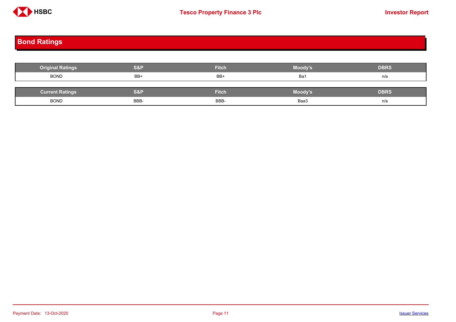

# <span id="page-10-0"></span>**Bond Ratings**

| <b>Original Ratings</b> | <b>S&amp;P</b> | <b>Fitch</b> | Moody's | <b>DBRS</b> |
|-------------------------|----------------|--------------|---------|-------------|
| <b>BOND</b>             | BB+            | BB+          | Ba1     | n/a         |
|                         |                |              |         |             |
| <b>Current Ratings</b>  | <b>S&amp;P</b> | <b>Fitch</b> | Moody's | <b>DBRS</b> |
| <b>BOND</b>             | BBB-           | BBB-         | Baa3    | n/a         |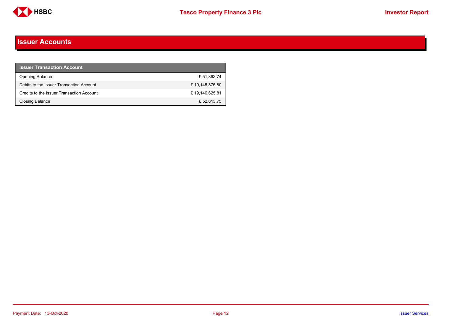

#### <span id="page-11-0"></span>**Issuer Accounts**

| <b>Issuer Transaction Account</b>         |                |
|-------------------------------------------|----------------|
| <b>Opening Balance</b>                    | £51,863.74     |
| Debits to the Issuer Transaction Account  | £19,145,875.80 |
| Credits to the Issuer Transaction Account | £19,146,625.81 |
| <b>Closing Balance</b>                    | £52,613.75     |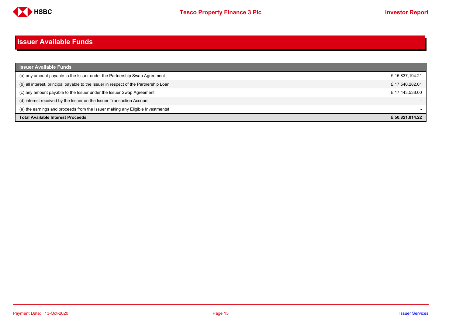

#### <span id="page-12-0"></span>**Issuer Available Funds**

| <b>Issuer Available Funds</b>                                                        |                |
|--------------------------------------------------------------------------------------|----------------|
| (a) any amount payable to the Issuer under the Partnership Swap Agreement            | £15,837,194.21 |
| (b) all interest, principal payable to the Issuer in respect of the Partnership Loan | £17,540,282.01 |
| (c) any amount payable to the Issuer under the Issuer Swap Agreement                 | £17.443.538.00 |
| (d) interest received by the Issuer on the Issuer Transaction Account                |                |
| (e) the earnings and proceeds from the Issuer making any Eligible Investmentst       |                |
| <b>Total Available Interest Proceeds</b>                                             | £50.821.014.22 |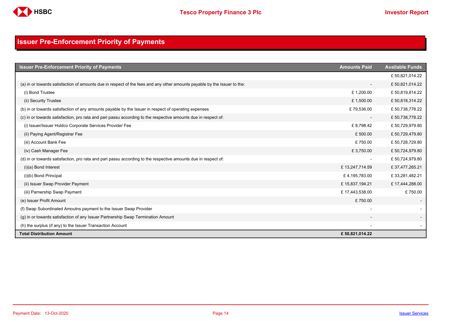

## <span id="page-13-0"></span>**Issuer Pre-Enforcement Priority of Payments**

| <b>Issuer Pre-Enforcement Priority of Payments</b>                                                                       | <b>Amounts Paid</b>      | <b>Available Funds</b> |
|--------------------------------------------------------------------------------------------------------------------------|--------------------------|------------------------|
|                                                                                                                          |                          | £50,821,014.22         |
| (a) in or towards satisfaction of amounts due in respect of the fees and any other amounts payable by the Issuer to the: | $\overline{\phantom{a}}$ | £50,821,014.22         |
| (i) Bond Trustee                                                                                                         | £1,200.00                | £50,819,814.22         |
| (ii) Security Trustee                                                                                                    | £1,500.00                | £50,818,314.22         |
| (b) in or towards satisfaction of any amounts payable by the Issuer in respect of operating expenses                     | £79,536.00               | £50,738,778.22         |
| (c) in or towards satisfaction, pro rata and pari passu according to the respective amounts due in respect of:           | $\overline{\phantom{a}}$ | £50,738,778.22         |
| (i) Issuer/Issuer Holdco Corporate Services Provider Fee                                                                 | £8,798.42                | £50,729,979.80         |
| (ii) Paying Agent/Registrar Fee                                                                                          | £500.00                  | £50,729,479.80         |
| (iii) Account Bank Fee                                                                                                   | £750.00                  | £50,728,729.80         |
| (iv) Cash Manager Fee                                                                                                    | £3,750.00                | £50,724,979.80         |
| (d) in or towards satisfaction, pro rata and pari passu according to the respective amounts due in respect of:           | $\overline{\phantom{a}}$ | £50,724,979.80         |
| $(i)(a)$ Bond Interest                                                                                                   | £13,247,714.59           | £37,477,265.21         |
| (i)(b) Bond Principal                                                                                                    | £4,195,783.00            | £33,281,482.21         |
| (ii) Issuer Swap Provider Payment                                                                                        | £15,837,194.21           | £17,444,288.00         |
| (iii) Parnership Swap Payment                                                                                            | £17,443,538.00           | £750.00                |
| (e) Issuer Profit Amount                                                                                                 | £750.00                  |                        |
| (f) Swap Subordinated Amoutns payment to the Issuer Swap Provider                                                        |                          |                        |
| (g) in or towards satisfaction of any Issuer Partnership Swap Termination Amount                                         |                          |                        |
| (h) the surplus (if any) to the Issuer Transaction Account                                                               |                          |                        |
| <b>Total Distribution Amount</b>                                                                                         | £50,821,014.22           |                        |